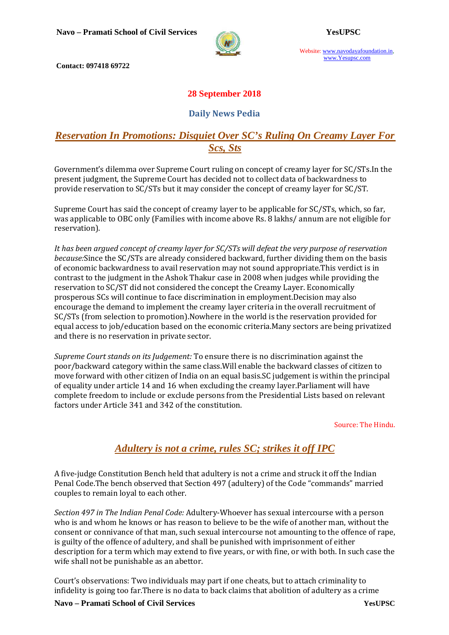

Website: www.navodayafoundation.in, www.Yesupsc.com

 **Contact: 097418 69722** 

## **28 September 2018**

### **Daily News Pedia**

## *Reservation In Promotions: Disquiet Over SC's Ruling On Creamy Layer For Scs, Sts*

Government's dilemma over Supreme Court ruling on concept of creamy layer for SC/STs.In the present judgment, the Supreme Court has decided not to collect data of backwardness to provide reservation to SC/STs but it may consider the concept of creamy layer for SC/ST.

Supreme Court has said the concept of creamy layer to be applicable for SC/STs, which, so far, was applicable to OBC only (Families with income above Rs. 8 lakhs/ annum are not eligible for reservation).

*It has been argued concept of creamy layer for SC/STs will defeat the very purpose of reservation because:*Since the SC/STs are already considered backward, further dividing them on the basis of economic backwardness to avail reservation may not sound appropriate.This verdict is in contrast to the judgment in the Ashok Thakur case in 2008 when judges while providing the reservation to SC/ST did not considered the concept the Creamy Layer. Economically prosperous SCs will continue to face discrimination in employment.Decision may also encourage the demand to implement the creamy layer criteria in the overall recruitment of SC/STs (from selection to promotion).Nowhere in the world is the reservation provided for equal access to job/education based on the economic criteria.Many sectors are being privatized and there is no reservation in private sector.

*Supreme Court stands on its Judgement:* To ensure there is no discrimination against the poor/backward category within the same class.Will enable the backward classes of citizen to move forward with other citizen of India on an equal basis.SC judgement is within the principal of equality under article 14 and 16 when excluding the creamy layer.Parliament will have complete freedom to include or exclude persons from the Presidential Lists based on relevant factors under Article 341 and 342 of the constitution.

Source: The Hindu.

## *Adultery is not a crime, rules SC; strikes it off IPC*

A five-judge Constitution Bench held that adultery is not a crime and struck it off the Indian Penal Code.The bench observed that Section 497 (adultery) of the Code "commands" married couples to remain loyal to each other.

*Section 497 in The Indian Penal Code:* Adultery-Whoever has sexual intercourse with a person who is and whom he knows or has reason to believe to be the wife of another man, without the consent or connivance of that man, such sexual intercourse not amounting to the offence of rape, is guilty of the offence of adultery, and shall be punished with imprisonment of either description for a term which may extend to five years, or with fine, or with both. In such case the wife shall not be punishable as an abettor.

Court's observations: Two individuals may part if one cheats, but to attach criminality to infidelity is going too far.There is no data to back claims that abolition of adultery as a crime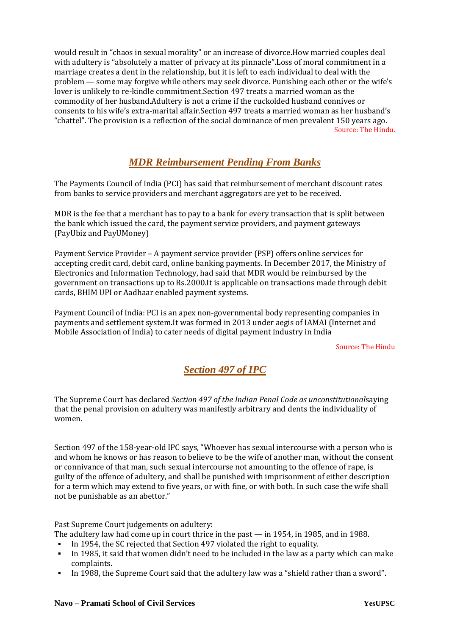would result in "chaos in sexual morality" or an increase of divorce.How married couples deal with adultery is "absolutely a matter of privacy at its pinnacle".Loss of moral commitment in a marriage creates a dent in the relationship, but it is left to each individual to deal with the problem — some may forgive while others may seek divorce. Punishing each other or the wife's lover is unlikely to re-kindle commitment.Section 497 treats a married woman as the commodity of her husband.Adultery is not a crime if the cuckolded husband connives or consents to his wife's extra-marital affair.Section 497 treats a married woman as her husband's "chattel". The provision is a reflection of the social dominance of men prevalent 150 years ago. Source: The Hindu.

## *MDR Reimbursement Pending From Banks*

The Payments Council of India (PCI) has said that reimbursement of merchant discount rates from banks to service providers and merchant aggregators are yet to be received.

MDR is the fee that a merchant has to pay to a bank for every transaction that is split between the bank which issued the card, the payment service providers, and payment gateways (PayUbiz and PayUMoney)

Payment Service Provider – A payment service provider (PSP) offers online services for accepting credit card, debit card, online banking payments. In December 2017, the Ministry of Electronics and Information Technology, had said that MDR would be reimbursed by the government on transactions up to Rs.2000.It is applicable on transactions made through debit cards, BHIM UPI or Aadhaar enabled payment systems.

Payment Council of India: PCI is an apex non-governmental body representing companies in payments and settlement system.It was formed in 2013 under aegis of IAMAI (Internet and Mobile Association of India) to cater needs of digital payment industry in India

#### Source: The Hindu

# *Section 497 of IPC*

The Supreme Court has declared *Section 497 of the Indian Penal Code as unconstitutional*saying that the penal provision on adultery was manifestly arbitrary and dents the individuality of women.

Section 497 of the 158-year-old IPC says, "Whoever has sexual intercourse with a person who is and whom he knows or has reason to believe to be the wife of another man, without the consent or connivance of that man, such sexual intercourse not amounting to the offence of rape, is guilty of the offence of adultery, and shall be punished with imprisonment of either description for a term which may extend to five years, or with fine, or with both. In such case the wife shall not be punishable as an abettor."

Past Supreme Court judgements on adultery:

The adultery law had come up in court thrice in the past — in 1954, in 1985, and in 1988.

- In 1954, the SC rejected that Section 497 violated the right to equality.
- In 1985, it said that women didn't need to be included in the law as a party which can make complaints.
- In 1988, the Supreme Court said that the adultery law was a "shield rather than a sword".

#### **Navo – Pramati School of Civil Services YesUPSC**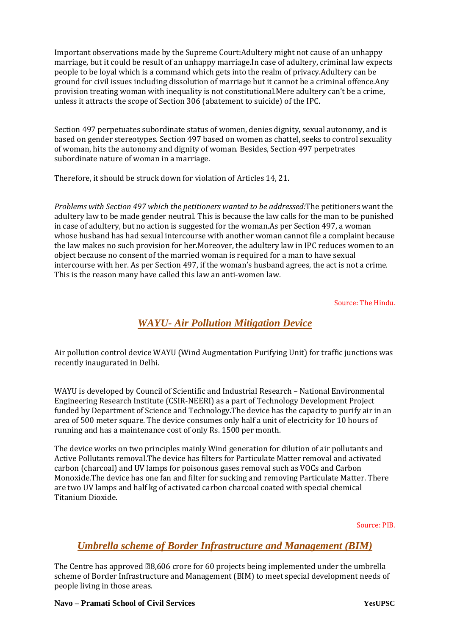Important observations made by the Supreme Court:Adultery might not cause of an unhappy marriage, but it could be result of an unhappy marriage.In case of adultery, criminal law expects people to be loyal which is a command which gets into the realm of privacy.Adultery can be ground for civil issues including dissolution of marriage but it cannot be a criminal offence.Any provision treating woman with inequality is not constitutional.Mere adultery can't be a crime, unless it attracts the scope of Section 306 (abatement to suicide) of the IPC.

Section 497 perpetuates subordinate status of women, denies dignity, sexual autonomy, and is based on gender stereotypes. Section 497 based on women as chattel, seeks to control sexuality of woman, hits the autonomy and dignity of woman. Besides, Section 497 perpetrates subordinate nature of woman in a marriage.

Therefore, it should be struck down for violation of Articles 14, 21.

*Problems with Section 497 which the petitioners wanted to be addressed:*The petitioners want the adultery law to be made gender neutral. This is because the law calls for the man to be punished in case of adultery, but no action is suggested for the woman.As per Section 497, a woman whose husband has had sexual intercourse with another woman cannot file a complaint because the law makes no such provision for her.Moreover, the adultery law in IPC reduces women to an object because no consent of the married woman is required for a man to have sexual intercourse with her. As per Section 497, if the woman's husband agrees, the act is not a crime. This is the reason many have called this law an anti-women law.

Source: The Hindu.

## *WAYU- Air Pollution Mitigation Device*

Air pollution control device WAYU (Wind Augmentation Purifying Unit) for traffic junctions was recently inaugurated in Delhi.

WAYU is developed by Council of Scientific and Industrial Research – National Environmental Engineering Research Institute (CSIR-NEERI) as a part of Technology Development Project funded by Department of Science and Technology.The device has the capacity to purify air in an area of 500 meter square. The device consumes only half a unit of electricity for 10 hours of running and has a maintenance cost of only Rs. 1500 per month.

The device works on two principles mainly Wind generation for dilution of air pollutants and Active Pollutants removal.The device has filters for Particulate Matter removal and activated carbon (charcoal) and UV lamps for poisonous gases removal such as VOCs and Carbon Monoxide.The device has one fan and filter for sucking and removing Particulate Matter. There are two UV lamps and half kg of activated carbon charcoal coated with special chemical Titanium Dioxide.

Source: PIB.

### *Umbrella scheme of Border Infrastructure and Management (BIM)*

The Centre has approved  $\text{\textdegree}8.606$  crore for 60 projects being implemented under the umbrella scheme of Border Infrastructure and Management (BIM) to meet special development needs of people living in those areas.

#### **Navo – Pramati School of Civil Services YesUPSC**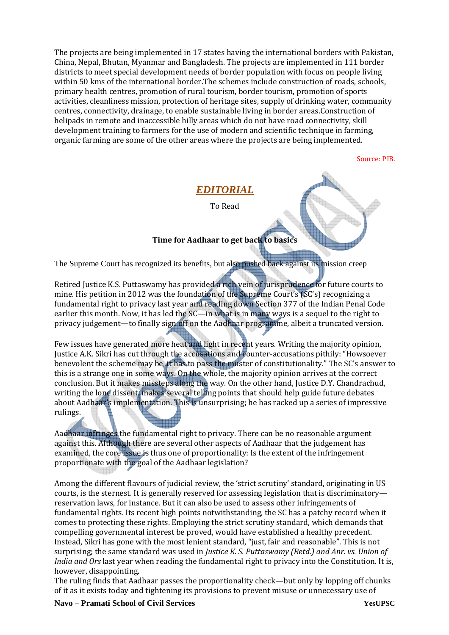The projects are being implemented in 17 states having the international borders with Pakistan, China, Nepal, Bhutan, Myanmar and Bangladesh. The projects are implemented in 111 border districts to meet special development needs of border population with focus on people living within 50 kms of the international border.The schemes include construction of roads, schools, primary health centres, promotion of rural tourism, border tourism, promotion of sports activities, cleanliness mission, protection of heritage sites, supply of drinking water, community centres, connectivity, drainage, to enable sustainable living in border areas.Construction of helipads in remote and inaccessible hilly areas which do not have road connectivity, skill development training to farmers for the use of modern and scientific technique in farming, organic farming are some of the other areas where the projects are being implemented.

Source: PIB.

### *EDITORIAL*

To Read

#### **Time for Aadhaar to get back to basics**

The Supreme Court has recognized its benefits, but also pushed back against its mission creep

Retired Justice K.S. Puttaswamy has provided a rich vein of jurisprudence for future courts to mine. His petition in 2012 was the foundation of the Supreme Court's (SC's) recognizing a fundamental right to privacy last year and reading down Section 377 of the Indian Penal Code earlier this month. Now, it has led the SC—in what is in many ways is a sequel to the right to privacy judgement—to finally sign off on the Aadhaar programme, albeit a truncated version.

Few issues have generated more heat and light in recent years. Writing the majority opinion, Justice A.K. Sikri has cut through the accusations and counter-accusations pithily: "Howsoever benevolent the scheme may be, it has to pass the muster of constitutionality." The SC's answer to this is a strange one in some ways. On the whole, the majority opinion arrives at the correct conclusion. But it makes missteps along the way. On the other hand, Justice D.Y. Chandrachud, writing the lone dissent, makes several telling points that should help guide future debates about Aadhaar's implementation. This is unsurprising; he has racked up a series of impressive rulings.

Aadhaar infringes the fundamental right to privacy. There can be no reasonable argument against this. Although there are several other aspects of Aadhaar that the judgement has examined, the core issue is thus one of proportionality: Is the extent of the infringement proportionate with the goal of the Aadhaar legislation?

Among the different flavours of judicial review, the 'strict scrutiny' standard, originating in US courts, is the sternest. It is generally reserved for assessing legislation that is discriminatory reservation laws, for instance. But it can also be used to assess other infringements of fundamental rights. Its recent high points notwithstanding, the SC has a patchy record when it comes to protecting these rights. Employing the strict scrutiny standard, which demands that compelling governmental interest be proved, would have established a healthy precedent. Instead, Sikri has gone with the most lenient standard, "just, fair and reasonable". This is not surprising; the same standard was used in *Justice K. S. Puttaswamy (Retd.) and Anr. vs. Union of India and Ors* last year when reading the fundamental right to privacy into the Constitution. It is, however, disappointing.

The ruling finds that Aadhaar passes the proportionality check—but only by lopping off chunks of it as it exists today and tightening its provisions to prevent misuse or unnecessary use of